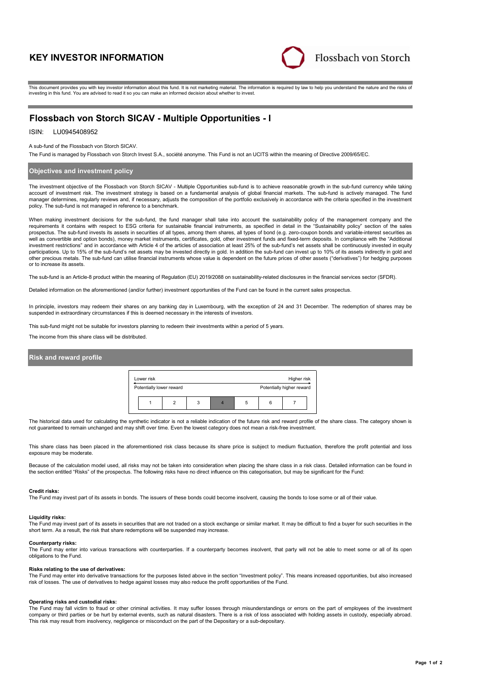# **KEY INVESTOR INFORMATION**



This document provides you with key investor information about this fund. It is not marketing material. The information is required by law to help you understand the nature and the risks of investing in this fund. You are advised to read it so you can make an informed decision about whether to invest.

# **Flossbach von Storch SICAV - Multiple Opportunities - I**

# ISIN: LU0945408952

A sub-fund of the Flossbach von Storch SICAV.

The Fund is managed by Flossbach von Storch Invest S.A., société anonyme. This Fund is not an UCITS within the meaning of Directive 2009/65/EC.

## **Objectives and investment policy**

The investment objective of the Flossbach von Storch SICAV - Multiple Opportunities sub-fund is to achieve reasonable growth in the sub-fund currency while taking account of investment risk. The investment strategy is based on a fundamental analysis of global financial markets. The sub-fund is actively managed. The fund manager determines, regularly reviews and, if necessary, adjusts the composition of the portfolio exclusively in accordance with the criteria specified in the investment policy. The sub-fund is not managed in reference to a benchmark.

When making investment decisions for the sub-fund, the fund manager shall take into account the sustainability policy of the management company and the requirements it contains with respect to ESG criteria for sustainable financial instruments, as specified in detail in the "Sustainability policy" section of the sales<br>prospectus. The sub-fund invests its assets in securit well as convertible and option bonds), money market instruments, certificates, gold, other investment funds and fixed-term deposits. In compliance with the "Additional investment restrictions" and in accordance with Article 4 of the articles of association at least 25% of the sub-fund's net assets shall be continuously invested in equity participations. Up to 15% of the sub-fund's net assets may be invested directly in gold. In addition the sub-fund can invest up to 10% of its assets indirectly in gold and other precious metals. The sub-fund can utilise financial instruments whose value is dependent on the future prices of other assets ("derivatives") for hedging purposes or to increase its assets.

The sub-fund is an Article-8 product within the meaning of Regulation (EU) 2019/2088 on sustainability-related disclosures in the financial services sector (SFDR).

Detailed information on the aforementioned (and/or further) investment opportunities of the Fund can be found in the current sales prospectus.

In principle, investors may redeem their shares on any banking day in Luxembourg, with the exception of 24 and 31 December. The redemption of shares may be suspended in extraordinary circumstances if this is deemed necessary in the interests of investors.

This sub-fund might not be suitable for investors planning to redeem their investments within a period of 5 years.

The income from this share class will be distributed.

# **Risk and reward profile**



The historical data used for calculating the synthetic indicator is not a reliable indication of the future risk and reward profile of the share class. The category shown is not guaranteed to remain unchanged and may shift over time. Even the lowest category does not mean a risk-free investment.

This share class has been placed in the aforementioned risk class because its share price is subject to medium fluctuation, therefore the profit potential and loss exposure may be moderate

Because of the calculation model used, all risks may not be taken into consideration when placing the share class in a risk class. Detailed information can be found in the section entitled "Risks" of the prospectus. The following risks have no direct influence on this categorisation, but may be significant for the Fund:

#### **Credit risks:**

The Fund may invest part of its assets in bonds. The issuers of these bonds could become insolvent, causing the bonds to lose some or all of their value.

#### **Liquidity risks:**

The Fund may invest part of its assets in securities that are not traded on a stock exchange or similar market. It may be difficult to find a buyer for such securities in the short term. As a result, the risk that share redemptions will be suspended may increase.

#### **Counterparty risks:**

The Fund may enter into various transactions with counterparties. If a counterparty becomes insolvent, that party will not be able to meet some or all of its open obligations to the Fund.

#### **Risks relating to the use of derivatives:**

The Fund may enter into derivative transactions for the purposes listed above in the section "Investment policy". This means increased opportunities, but also increased risk of losses. The use of derivatives to hedge against losses may also reduce the profit opportunities of the Fund.

## **Operating risks and custodial risks:**

The Fund may fall victim to fraud or other criminal activities. It may suffer losses through misunderstandings or errors on the part of employees of the investment company or third parties or be hurt by external events, such as natural disasters. There is a risk of loss associated with holding assets in custody, especially abroad. This risk may result from insolvency, negligence or misconduct on the part of the Depositary or a sub-depositary.